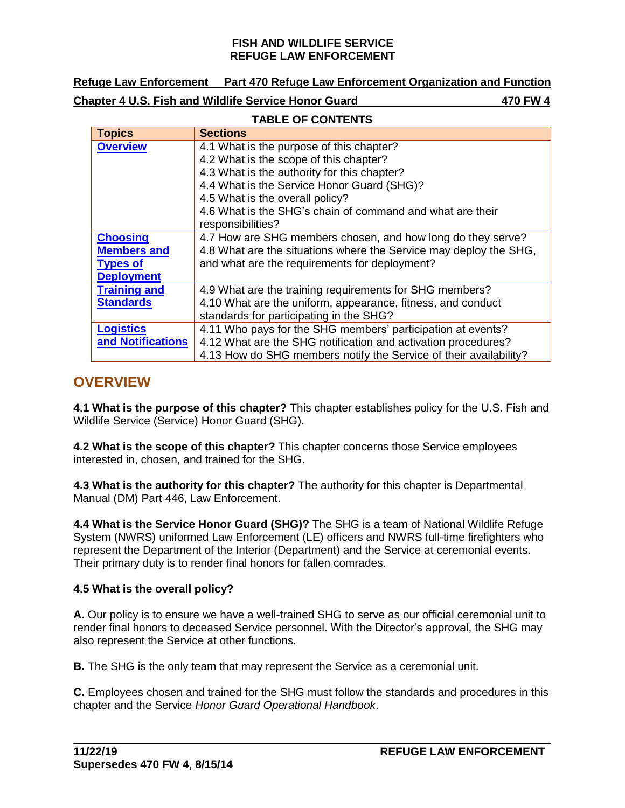| <b>Refuge Law Enforcement</b> |                                                             | <b>Part 470 Refuge Law Enforcement Organization and Function</b> |
|-------------------------------|-------------------------------------------------------------|------------------------------------------------------------------|
|                               | <b>Chapter 4 U.S. Fish and Wildlife Service Honor Guard</b> | 470 FW 4                                                         |

#### **TABLE OF CONTENTS Topics Sections [Overview](#page-0-0)** 4.1 What is the purpose of this chapter? 4.2 What is the scope of this chapter? 4.3 What is the authority for this chapter? 4.4 What is the Service Honor Guard (SHG)? 4.5 What is the overall policy? 4.6 What is the SHG's chain of command and what are their responsibilities? **[Choosing](#page-3-0)  [Members and](#page-3-0)  [Types of](#page-3-0)  [Deployment](#page-3-0)** 4.7 How are SHG members chosen, and how long do they serve? 4.8 What are the situations where the Service may deploy the SHG, and what are the requirements for deployment? **[Training and](#page-5-0) [Standards](#page-5-0)** 4.9 What are the training requirements for SHG members? 4.10 What are the uniform, appearance, fitness, and conduct standards for participating in the SHG? **[Logistics](#page-6-0) [and Notifications](#page-6-0)** 4.11 Who pays for the SHG members' participation at events? 4.12 What are the SHG notification and activation procedures? 4.13 How do SHG members notify the Service of their availability?

## <span id="page-0-0"></span>**OVERVIEW**

**4.1 What is the purpose of this chapter?** This chapter establishes policy for the U.S. Fish and Wildlife Service (Service) Honor Guard (SHG).

**4.2 What is the scope of this chapter?** This chapter concerns those Service employees interested in, chosen, and trained for the SHG.

**4.3 What is the authority for this chapter?** The authority for this chapter is Departmental Manual (DM) Part 446, Law Enforcement.

**4.4 What is the Service Honor Guard (SHG)?** The SHG is a team of National Wildlife Refuge System (NWRS) uniformed Law Enforcement (LE) officers and NWRS full-time firefighters who represent the Department of the Interior (Department) and the Service at ceremonial events. Their primary duty is to render final honors for fallen comrades.

## **4.5 What is the overall policy?**

**A.** Our policy is to ensure we have a well-trained SHG to serve as our official ceremonial unit to render final honors to deceased Service personnel. With the Director's approval, the SHG may also represent the Service at other functions.

**B.** The SHG is the only team that may represent the Service as a ceremonial unit.

**C.** Employees chosen and trained for the SHG must follow the standards and procedures in this chapter and the Service *Honor Guard Operational Handbook*.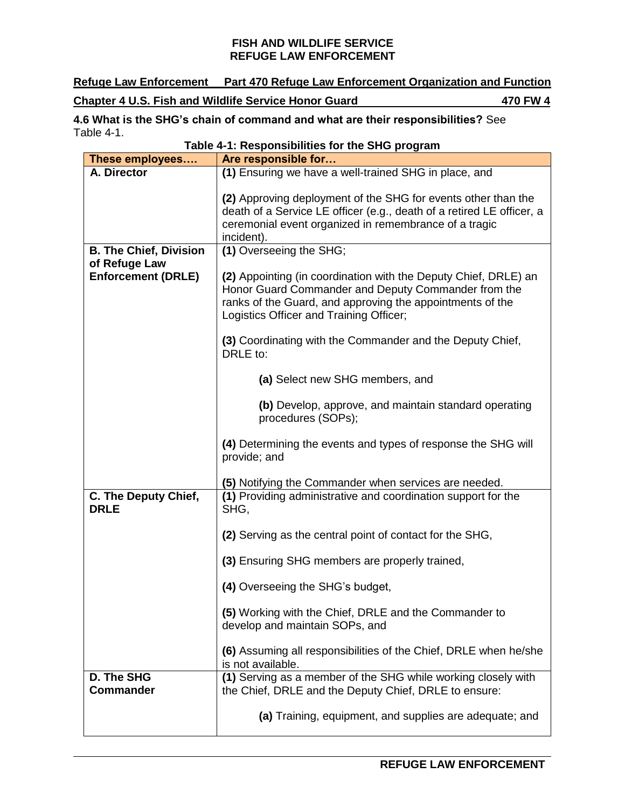**Refuge Law Enforcement Part 470 Refuge Law Enforcement Organization and Function Chapter 4 U.S. Fish and Wildlife Service Honor Guard 470 FW 4**

**4.6 What is the SHG's chain of command and what are their responsibilities?** See Table 4-1. **Table 4-1: Responsibilities for the SHG program**

| rable 4-1. Responsibilities for the SHG program |                                                                                         |  |
|-------------------------------------------------|-----------------------------------------------------------------------------------------|--|
| These employees                                 | Are responsible for                                                                     |  |
| A. Director                                     | (1) Ensuring we have a well-trained SHG in place, and                                   |  |
|                                                 |                                                                                         |  |
|                                                 | (2) Approving deployment of the SHG for events other than the                           |  |
|                                                 | death of a Service LE officer (e.g., death of a retired LE officer, a                   |  |
|                                                 | ceremonial event organized in remembrance of a tragic                                   |  |
|                                                 | incident).                                                                              |  |
| <b>B. The Chief, Division</b>                   | (1) Overseeing the SHG;                                                                 |  |
| of Refuge Law                                   |                                                                                         |  |
| <b>Enforcement (DRLE)</b>                       | (2) Appointing (in coordination with the Deputy Chief, DRLE) an                         |  |
|                                                 | Honor Guard Commander and Deputy Commander from the                                     |  |
|                                                 | ranks of the Guard, and approving the appointments of the                               |  |
|                                                 | Logistics Officer and Training Officer;                                                 |  |
|                                                 |                                                                                         |  |
|                                                 | (3) Coordinating with the Commander and the Deputy Chief,<br>DRLE to:                   |  |
|                                                 | (a) Select new SHG members, and                                                         |  |
|                                                 | (b) Develop, approve, and maintain standard operating<br>procedures (SOPs);             |  |
|                                                 | (4) Determining the events and types of response the SHG will<br>provide; and           |  |
|                                                 | (5) Notifying the Commander when services are needed.                                   |  |
| C. The Deputy Chief,<br><b>DRLE</b>             | (1) Providing administrative and coordination support for the<br>SHG,                   |  |
|                                                 | (2) Serving as the central point of contact for the SHG,                                |  |
|                                                 | (3) Ensuring SHG members are properly trained,                                          |  |
|                                                 | (4) Overseeing the SHG's budget,                                                        |  |
|                                                 | (5) Working with the Chief, DRLE and the Commander to<br>develop and maintain SOPs, and |  |
|                                                 | (6) Assuming all responsibilities of the Chief, DRLE when he/she<br>is not available.   |  |
| D. The SHG                                      | (1) Serving as a member of the SHG while working closely with                           |  |
| <b>Commander</b>                                | the Chief, DRLE and the Deputy Chief, DRLE to ensure:                                   |  |
|                                                 | (a) Training, equipment, and supplies are adequate; and                                 |  |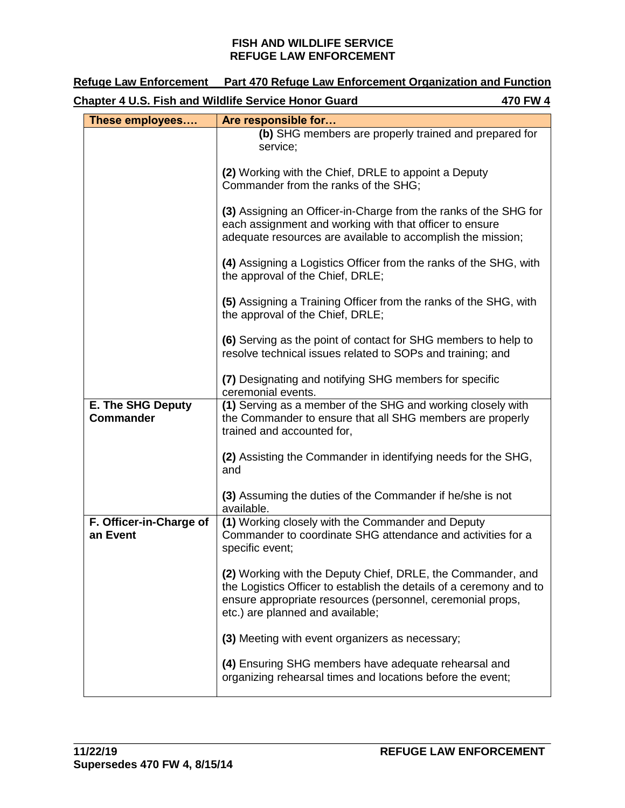| <b>Refuge Law Enforcement</b>                | Part 470 Refuge Law Enforcement Organization and Function                                                                                                                                                                            |
|----------------------------------------------|--------------------------------------------------------------------------------------------------------------------------------------------------------------------------------------------------------------------------------------|
|                                              | <b>Chapter 4 U.S. Fish and Wildlife Service Honor Guard</b><br>470 FW 4                                                                                                                                                              |
| These employees                              | Are responsible for                                                                                                                                                                                                                  |
|                                              | (b) SHG members are properly trained and prepared for<br>service;                                                                                                                                                                    |
|                                              | (2) Working with the Chief, DRLE to appoint a Deputy<br>Commander from the ranks of the SHG;                                                                                                                                         |
|                                              | (3) Assigning an Officer-in-Charge from the ranks of the SHG for<br>each assignment and working with that officer to ensure<br>adequate resources are available to accomplish the mission;                                           |
|                                              | (4) Assigning a Logistics Officer from the ranks of the SHG, with<br>the approval of the Chief, DRLE;                                                                                                                                |
|                                              | (5) Assigning a Training Officer from the ranks of the SHG, with<br>the approval of the Chief, DRLE;                                                                                                                                 |
|                                              | (6) Serving as the point of contact for SHG members to help to<br>resolve technical issues related to SOPs and training; and                                                                                                         |
|                                              | (7) Designating and notifying SHG members for specific<br>ceremonial events.                                                                                                                                                         |
| <b>E. The SHG Deputy</b><br><b>Commander</b> | (1) Serving as a member of the SHG and working closely with<br>the Commander to ensure that all SHG members are properly<br>trained and accounted for,                                                                               |
|                                              | (2) Assisting the Commander in identifying needs for the SHG,<br>and                                                                                                                                                                 |
|                                              | (3) Assuming the duties of the Commander if he/she is not<br>available.                                                                                                                                                              |
| F. Officer-in-Charge of<br>an Event          | (1) Working closely with the Commander and Deputy<br>Commander to coordinate SHG attendance and activities for a<br>specific event;                                                                                                  |
|                                              | (2) Working with the Deputy Chief, DRLE, the Commander, and<br>the Logistics Officer to establish the details of a ceremony and to<br>ensure appropriate resources (personnel, ceremonial props,<br>etc.) are planned and available; |
|                                              | (3) Meeting with event organizers as necessary;                                                                                                                                                                                      |
|                                              | (4) Ensuring SHG members have adequate rehearsal and<br>organizing rehearsal times and locations before the event;                                                                                                                   |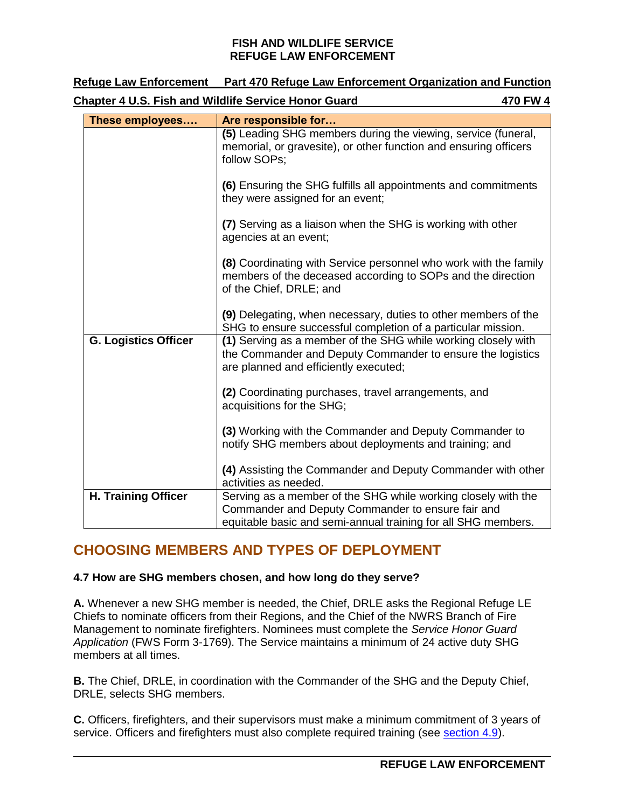| <b>Refuge Law Enforcement</b>                               | Part 470 Refuge Law Enforcement Organization and Function                                                                                                                           |          |
|-------------------------------------------------------------|-------------------------------------------------------------------------------------------------------------------------------------------------------------------------------------|----------|
| <b>Chapter 4 U.S. Fish and Wildlife Service Honor Guard</b> |                                                                                                                                                                                     | 470 FW 4 |
| These employees                                             | Are responsible for                                                                                                                                                                 |          |
|                                                             | (5) Leading SHG members during the viewing, service (funeral,<br>memorial, or gravesite), or other function and ensuring officers<br>follow SOPs;                                   |          |
|                                                             | (6) Ensuring the SHG fulfills all appointments and commitments<br>they were assigned for an event;                                                                                  |          |
|                                                             | (7) Serving as a liaison when the SHG is working with other<br>agencies at an event;                                                                                                |          |
|                                                             | (8) Coordinating with Service personnel who work with the family<br>members of the deceased according to SOPs and the direction<br>of the Chief, DRLE; and                          |          |
|                                                             | (9) Delegating, when necessary, duties to other members of the<br>SHG to ensure successful completion of a particular mission.                                                      |          |
| <b>G. Logistics Officer</b>                                 | (1) Serving as a member of the SHG while working closely with<br>the Commander and Deputy Commander to ensure the logistics<br>are planned and efficiently executed;                |          |
|                                                             | (2) Coordinating purchases, travel arrangements, and<br>acquisitions for the SHG;                                                                                                   |          |
|                                                             | (3) Working with the Commander and Deputy Commander to<br>notify SHG members about deployments and training; and                                                                    |          |
|                                                             | (4) Assisting the Commander and Deputy Commander with other<br>activities as needed.                                                                                                |          |
| <b>H. Training Officer</b>                                  | Serving as a member of the SHG while working closely with the<br>Commander and Deputy Commander to ensure fair and<br>equitable basic and semi-annual training for all SHG members. |          |

# <span id="page-3-0"></span>**CHOOSING MEMBERS AND TYPES OF DEPLOYMENT**

## **4.7 How are SHG members chosen, and how long do they serve?**

**A.** Whenever a new SHG member is needed, the Chief, DRLE asks the Regional Refuge LE Chiefs to nominate officers from their Regions, and the Chief of the NWRS Branch of Fire Management to nominate firefighters. Nominees must complete the *Service Honor Guard Application* (FWS Form 3-1769). The Service maintains a minimum of 24 active duty SHG members at all times.

**B.** The Chief, DRLE, in coordination with the Commander of the SHG and the Deputy Chief, DRLE, selects SHG members.

**C.** Officers, firefighters, and their supervisors must make a minimum commitment of 3 years of service. Officers and firefighters must also complete required training (see [section 4.9\)](#page-5-1).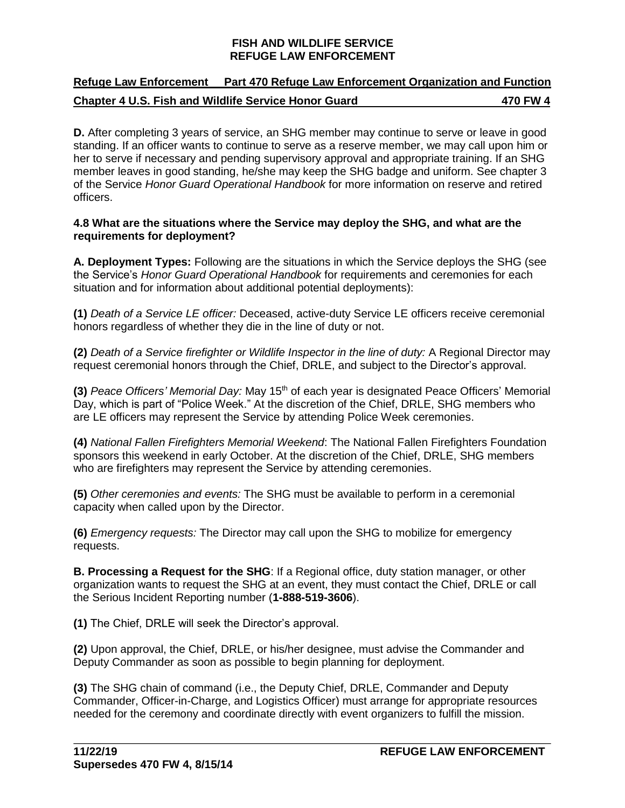## **Refuge Law Enforcement Part 470 Refuge Law Enforcement Organization and Function Chapter 4 U.S. Fish and Wildlife Service Honor Guard 470 FW 4**

**D.** After completing 3 years of service, an SHG member may continue to serve or leave in good standing. If an officer wants to continue to serve as a reserve member, we may call upon him or her to serve if necessary and pending supervisory approval and appropriate training. If an SHG member leaves in good standing, he/she may keep the SHG badge and uniform. See chapter 3 of the Service *Honor Guard Operational Handbook* for more information on reserve and retired officers.

## **4.8 What are the situations where the Service may deploy the SHG, and what are the requirements for deployment?**

**A. Deployment Types:** Following are the situations in which the Service deploys the SHG (see the Service's *Honor Guard Operational Handbook* for requirements and ceremonies for each situation and for information about additional potential deployments):

**(1)** *Death of a Service LE officer:* Deceased, active-duty Service LE officers receive ceremonial honors regardless of whether they die in the line of duty or not.

**(2)** *Death of a Service firefighter or Wildlife Inspector in the line of duty:* A Regional Director may request ceremonial honors through the Chief, DRLE, and subject to the Director's approval.

**(3)** *Peace Officers' Memorial Day:* May 15th of each year is designated Peace Officers' Memorial Day, which is part of "Police Week." At the discretion of the Chief, DRLE, SHG members who are LE officers may represent the Service by attending Police Week ceremonies.

**(4)** *National Fallen Firefighters Memorial Weekend*: The National Fallen Firefighters Foundation sponsors this weekend in early October. At the discretion of the Chief, DRLE, SHG members who are firefighters may represent the Service by attending ceremonies.

**(5)** *Other ceremonies and events:* The SHG must be available to perform in a ceremonial capacity when called upon by the Director.

**(6)** *Emergency requests:* The Director may call upon the SHG to mobilize for emergency requests.

**B. Processing a Request for the SHG**: If a Regional office, duty station manager, or other organization wants to request the SHG at an event, they must contact the Chief, DRLE or call the Serious Incident Reporting number (**1-888-519-3606**).

**(1)** The Chief, DRLE will seek the Director's approval.

**(2)** Upon approval, the Chief, DRLE, or his/her designee, must advise the Commander and Deputy Commander as soon as possible to begin planning for deployment.

**(3)** The SHG chain of command (i.e., the Deputy Chief, DRLE, Commander and Deputy Commander, Officer-in-Charge, and Logistics Officer) must arrange for appropriate resources needed for the ceremony and coordinate directly with event organizers to fulfill the mission.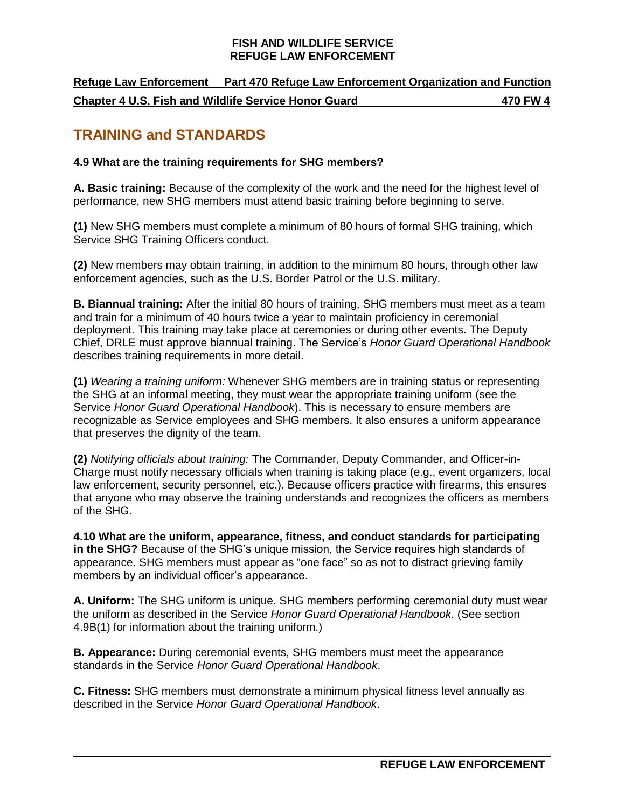**Refuge Law Enforcement Part 470 Refuge Law Enforcement Organization and Function Chapter 4 U.S. Fish and Wildlife Service Honor Guard 470 FW 4**

## <span id="page-5-0"></span>**TRAINING and STANDARDS**

## <span id="page-5-1"></span>**4.9 What are the training requirements for SHG members?**

**A. Basic training:** Because of the complexity of the work and the need for the highest level of performance, new SHG members must attend basic training before beginning to serve.

**(1)** New SHG members must complete a minimum of 80 hours of formal SHG training, which Service SHG Training Officers conduct.

**(2)** New members may obtain training, in addition to the minimum 80 hours, through other law enforcement agencies, such as the U.S. Border Patrol or the U.S. military.

**B. Biannual training:** After the initial 80 hours of training, SHG members must meet as a team and train for a minimum of 40 hours twice a year to maintain proficiency in ceremonial deployment. This training may take place at ceremonies or during other events. The Deputy Chief, DRLE must approve biannual training. The Service's *Honor Guard Operational Handbook*  describes training requirements in more detail.

**(1)** *Wearing a training uniform:* Whenever SHG members are in training status or representing the SHG at an informal meeting, they must wear the appropriate training uniform (see the Service *Honor Guard Operational Handbook*). This is necessary to ensure members are recognizable as Service employees and SHG members. It also ensures a uniform appearance that preserves the dignity of the team.

**(2)** *Notifying officials about training:* The Commander, Deputy Commander, and Officer-in-Charge must notify necessary officials when training is taking place (e.g., event organizers, local law enforcement, security personnel, etc.). Because officers practice with firearms, this ensures that anyone who may observe the training understands and recognizes the officers as members of the SHG.

**4.10 What are the uniform, appearance, fitness, and conduct standards for participating in the SHG?** Because of the SHG's unique mission, the Service requires high standards of appearance. SHG members must appear as "one face" so as not to distract grieving family members by an individual officer's appearance.

**A. Uniform:** The SHG uniform is unique. SHG members performing ceremonial duty must wear the uniform as described in the Service *Honor Guard Operational Handbook*. (See section 4.9B(1) for information about the training uniform.)

**B. Appearance:** During ceremonial events, SHG members must meet the appearance standards in the Service *Honor Guard Operational Handbook*.

**C. Fitness:** SHG members must demonstrate a minimum physical fitness level annually as described in the Service *Honor Guard Operational Handbook*.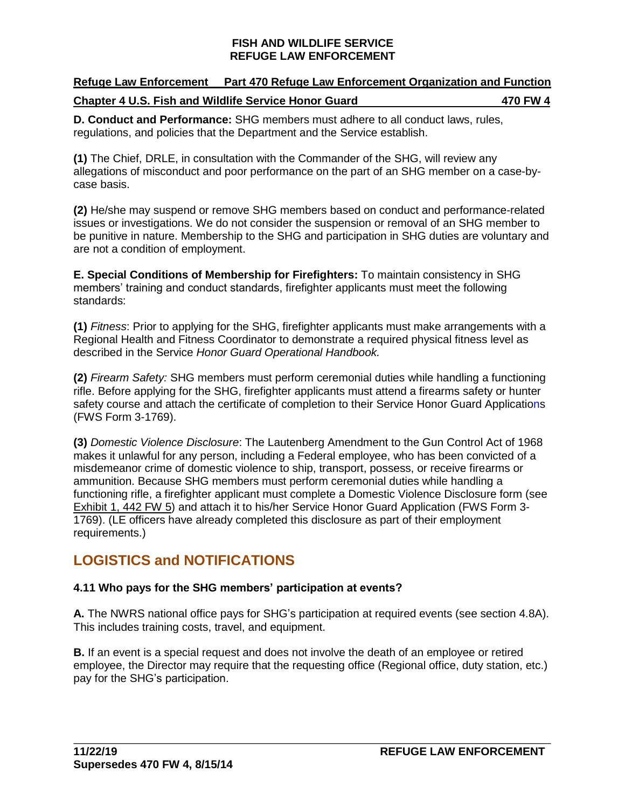| <b>Refuge Law Enforcement</b>                               | <b>Part 470 Refuge Law Enforcement Organization and Function</b> |
|-------------------------------------------------------------|------------------------------------------------------------------|
| <b>Chapter 4 U.S. Fish and Wildlife Service Honor Guard</b> | 470 FW 4                                                         |

**D. Conduct and Performance:** SHG members must adhere to all conduct laws, rules, regulations, and policies that the Department and the Service establish.

**(1)** The Chief, DRLE, in consultation with the Commander of the SHG, will review any allegations of misconduct and poor performance on the part of an SHG member on a case-bycase basis.

**(2)** He/she may suspend or remove SHG members based on conduct and performance-related issues or investigations. We do not consider the suspension or removal of an SHG member to be punitive in nature. Membership to the SHG and participation in SHG duties are voluntary and are not a condition of employment.

**E. Special Conditions of Membership for Firefighters:** To maintain consistency in SHG members' training and conduct standards, firefighter applicants must meet the following standards:

**(1)** *Fitness*: Prior to applying for the SHG, firefighter applicants must make arrangements with a Regional Health and Fitness Coordinator to demonstrate a required physical fitness level as described in the Service *Honor Guard Operational Handbook.*

**(2)** *Firearm Safety:* SHG members must perform ceremonial duties while handling a functioning rifle. Before applying for the SHG, firefighter applicants must attend a firearms safety or hunter safety course and attach the certificate of completion to their Service Honor Guard Applications (FWS Form 3-1769).

**(3)** *Domestic Violence Disclosure*: The Lautenberg Amendment to the Gun Control Act of 1968 makes it unlawful for any person, including a Federal employee, who has been convicted of a misdemeanor crime of domestic violence to ship, transport, possess, or receive firearms or ammunition. Because SHG members must perform ceremonial duties while handling a functioning rifle, a firefighter applicant must complete a Domestic Violence Disclosure form (see [Exhibit 1, 442 FW](https://www.fws.gov/policy/e1442fw5.pdf) 5) and attach it to his/her Service Honor Guard Application (FWS Form 3- 1769). (LE officers have already completed this disclosure as part of their employment requirements.)

# <span id="page-6-0"></span>**LOGISTICS and NOTIFICATIONS**

## **4.11 Who pays for the SHG members' participation at events?**

**A.** The NWRS national office pays for SHG's participation at required events (see section 4.8A). This includes training costs, travel, and equipment.

**B.** If an event is a special request and does not involve the death of an employee or retired employee, the Director may require that the requesting office (Regional office, duty station, etc.) pay for the SHG's participation.